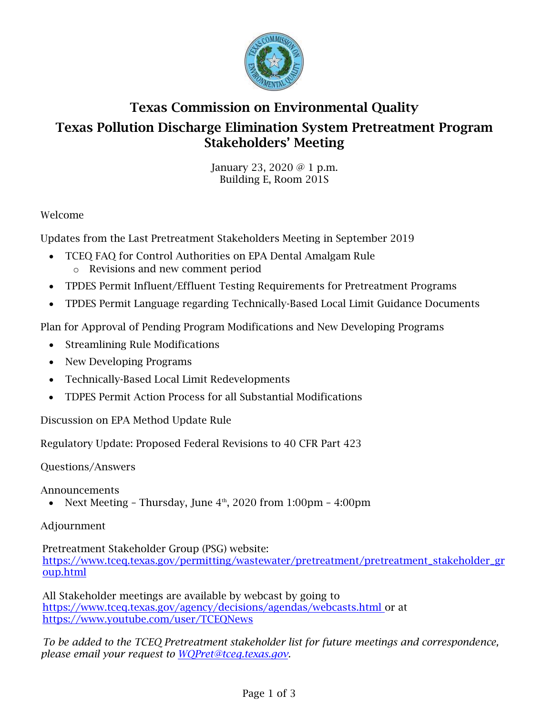

# Texas Commission on Environmental Quality Texas Pollution Discharge Elimination System Pretreatment Program Stakeholders' Meeting

January 23, 2020 @ 1 p.m. Building E, Room 201S

## Welcome

Updates from the Last Pretreatment Stakeholders Meeting in September 2019

- TCEQ FAQ for Control Authorities on EPA Dental Amalgam Rule o Revisions and new comment period
- TPDES Permit Influent/Effluent Testing Requirements for Pretreatment Programs
- TPDES Permit Language regarding Technically-Based Local Limit Guidance Documents

Plan for Approval of Pending Program Modifications and New Developing Programs

- Streamlining Rule Modifications
- New Developing Programs
- Technically-Based Local Limit Redevelopments
- TDPES Permit Action Process for all Substantial Modifications

Discussion on EPA Method Update Rule

Regulatory Update: Proposed Federal Revisions to 40 CFR Part 423

Questions/Answers

Announcements

• Next Meeting – Thursday, June  $4<sup>th</sup>$ , 2020 from 1:00pm – 4:00pm

#### Adjournment

Pretreatment Stakeholder Group (PSG) website: [https://www.tceq.texas.gov/permitting/wastewater/pretreatment/pretreatment\\_stakeholder\\_gr](https://www.tceq.texas.gov/permitting/wastewater/pretreatment/pretreatment_stakeholder_group.html) [oup.html](https://www.tceq.texas.gov/permitting/wastewater/pretreatment/pretreatment_stakeholder_group.html)

All Stakeholder meetings are available by webcast by going to [https://www.tceq.texas.gov/agency/decisions/agendas/webcasts.html o](https://www.tceq.texas.gov/agency/decisions/agendas/webcasts.html)r at <https://www.youtube.com/user/TCEQNews>

*To be added to the TCEQ Pretreatment stakeholder list for future meetings and correspondence, please email your request to [WQPret@tceq.texas.gov.](mailto:WQPret@tceq.texas.gov)*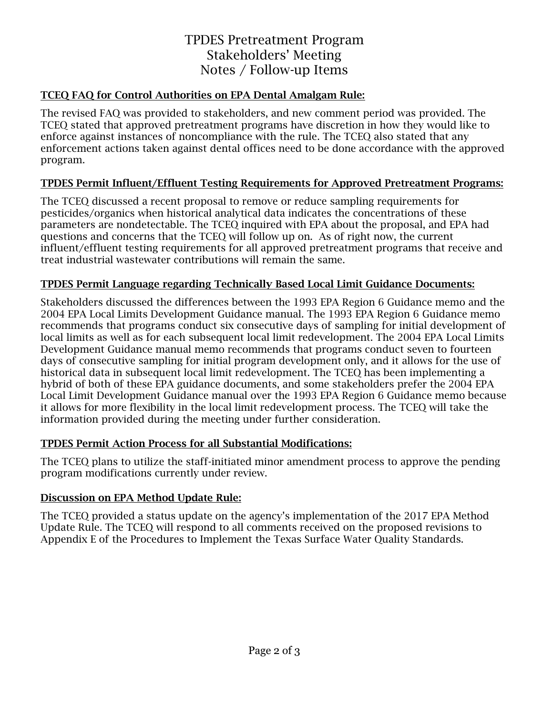## TPDES Pretreatment Program Stakeholders' Meeting Notes / Follow-up Items

#### TCEQ FAQ for Control Authorities on EPA Dental Amalgam Rule:

The revised FAQ was provided to stakeholders, and new comment period was provided. The TCEQ stated that approved pretreatment programs have discretion in how they would like to enforce against instances of noncompliance with the rule. The TCEQ also stated that any enforcement actions taken against dental offices need to be done accordance with the approved program.

## TPDES Permit Influent/Effluent Testing Requirements for Approved Pretreatment Programs:

The TCEQ discussed a recent proposal to remove or reduce sampling requirements for pesticides/organics when historical analytical data indicates the concentrations of these parameters are nondetectable. The TCEQ inquired with EPA about the proposal, and EPA had questions and concerns that the TCEQ will follow up on. As of right now, the current influent/effluent testing requirements for all approved pretreatment programs that receive and treat industrial wastewater contributions will remain the same.

## TPDES Permit Language regarding Technically Based Local Limit Guidance Documents:

Stakeholders discussed the differences between the 1993 EPA Region 6 Guidance memo and the 2004 EPA Local Limits Development Guidance manual. The 1993 EPA Region 6 Guidance memo recommends that programs conduct six consecutive days of sampling for initial development of local limits as well as for each subsequent local limit redevelopment. The 2004 EPA Local Limits Development Guidance manual memo recommends that programs conduct seven to fourteen days of consecutive sampling for initial program development only, and it allows for the use of historical data in subsequent local limit redevelopment. The TCEQ has been implementing a hybrid of both of these EPA guidance documents, and some stakeholders prefer the 2004 EPA Local Limit Development Guidance manual over the 1993 EPA Region 6 Guidance memo because it allows for more flexibility in the local limit redevelopment process. The TCEQ will take the information provided during the meeting under further consideration.

## TPDES Permit Action Process for all Substantial Modifications:

The TCEQ plans to utilize the staff-initiated minor amendment process to approve the pending program modifications currently under review.

#### Discussion on EPA Method Update Rule:

The TCEQ provided a status update on the agency's implementation of the 2017 EPA Method Update Rule. The TCEQ will respond to all comments received on the proposed revisions to Appendix E of the Procedures to Implement the Texas Surface Water Quality Standards.